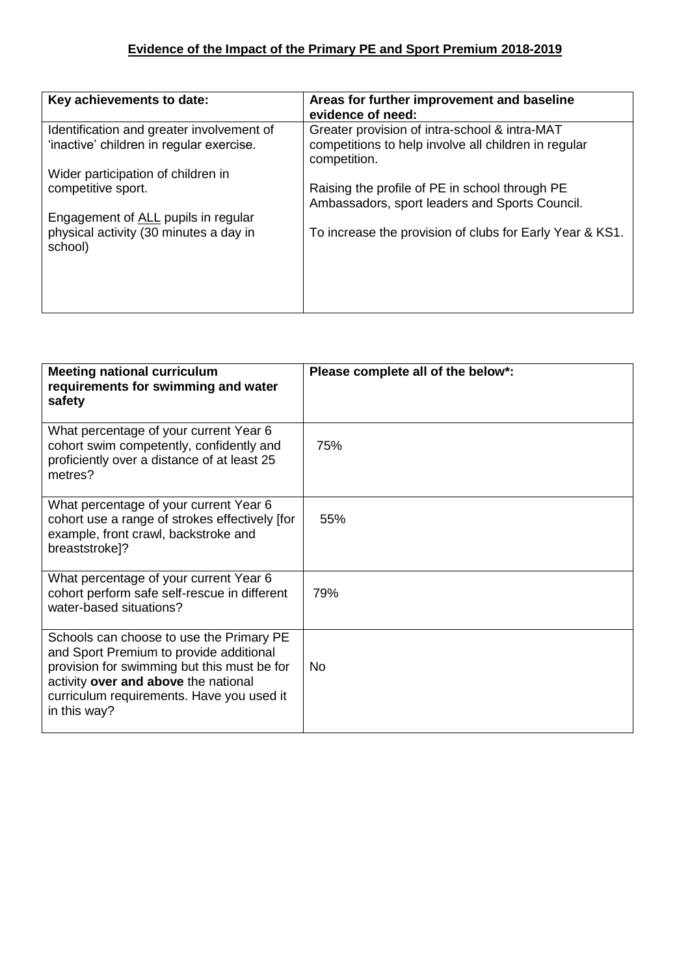| Key achievements to date:                                                             | Areas for further improvement and baseline<br>evidence of need:                                                       |
|---------------------------------------------------------------------------------------|-----------------------------------------------------------------------------------------------------------------------|
| Identification and greater involvement of<br>'inactive' children in regular exercise. | Greater provision of intra-school & intra-MAT<br>competitions to help involve all children in regular<br>competition. |
| Wider participation of children in                                                    |                                                                                                                       |
| competitive sport.                                                                    | Raising the profile of PE in school through PE<br>Ambassadors, sport leaders and Sports Council.                      |
| Engagement of ALL pupils in regular                                                   |                                                                                                                       |
| physical activity (30 minutes a day in<br>school)                                     | To increase the provision of clubs for Early Year & KS1.                                                              |
|                                                                                       |                                                                                                                       |
|                                                                                       |                                                                                                                       |
|                                                                                       |                                                                                                                       |

| <b>Meeting national curriculum</b><br>requirements for swimming and water<br>safety                                                                                                                                                     | Please complete all of the below*: |
|-----------------------------------------------------------------------------------------------------------------------------------------------------------------------------------------------------------------------------------------|------------------------------------|
| What percentage of your current Year 6<br>cohort swim competently, confidently and<br>proficiently over a distance of at least 25<br>metres?                                                                                            | 75%                                |
| What percentage of your current Year 6<br>cohort use a range of strokes effectively [for<br>example, front crawl, backstroke and<br>breaststroke]?                                                                                      | 55%                                |
| What percentage of your current Year 6<br>cohort perform safe self-rescue in different<br>water-based situations?                                                                                                                       | 79%                                |
| Schools can choose to use the Primary PE<br>and Sport Premium to provide additional<br>provision for swimming but this must be for<br>activity over and above the national<br>curriculum requirements. Have you used it<br>in this way? | No                                 |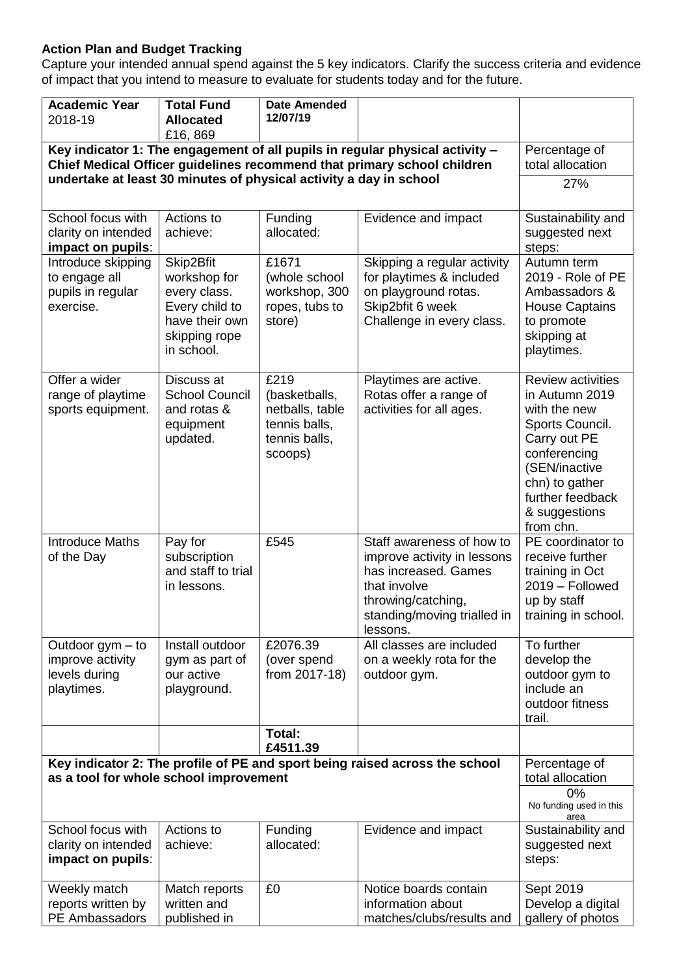## **Action Plan and Budget Tracking**

Capture your intended annual spend against the 5 key indicators. Clarify the success criteria and evidence of impact that you intend to measure to evaluate for students today and for the future.

| £16,869<br>Key indicator 1: The engagement of all pupils in regular physical activity -<br>Percentage of<br>Chief Medical Officer guidelines recommend that primary school children<br>total allocation<br>undertake at least 30 minutes of physical activity a day in school<br>27%<br>School focus with<br>Actions to<br>Sustainability and<br>Funding<br>Evidence and impact<br>allocated:<br>clarity on intended<br>achieve:<br>suggested next<br>impact on pupils:<br>steps:<br>Skip2Bfit<br>£1671<br>Introduce skipping<br>Skipping a regular activity<br>Autumn term<br>workshop for<br>to engage all<br>(whole school<br>for playtimes & included<br>2019 - Role of PE<br>pupils in regular<br>every class.<br>workshop, 300<br>on playground rotas.<br>Ambassadors &<br>Skip2bfit 6 week<br>exercise.<br>Every child to<br>ropes, tubs to<br><b>House Captains</b><br>have their own<br>Challenge in every class.<br>store)<br>to promote<br>skipping at<br>skipping rope<br>playtimes.<br>in school.<br>£219<br>Offer a wider<br>Discuss at<br>Playtimes are active.<br><b>Review activities</b><br><b>School Council</b><br>Rotas offer a range of<br>in Autumn 2019<br>range of playtime<br>(basketballs,<br>activities for all ages.<br>sports equipment.<br>and rotas &<br>netballs, table<br>with the new<br>tennis balls,<br>Sports Council.<br>equipment<br>updated.<br>tennis balls,<br>Carry out PE<br>conferencing<br>scoops)<br>(SEN/inactive<br>chn) to gather<br>further feedback<br>& suggestions<br>from chn.<br>£545<br>PE coordinator to<br><b>Introduce Maths</b><br>Pay for<br>Staff awareness of how to<br>subscription<br>improve activity in lessons<br>receive further<br>of the Day<br>and staff to trial<br>has increased. Games<br>training in Oct<br>that involve<br>2019 - Followed<br>in lessons.<br>up by staff<br>throwing/catching,<br>standing/moving trialled in<br>training in school.<br>lessons.<br>£2076.39<br>All classes are included<br>To further<br>Install outdoor<br>Outdoor gym - to<br>improve activity<br>develop the<br>(over spend<br>on a weekly rota for the<br>gym as part of<br>from 2017-18)<br>levels during<br>our active<br>outdoor gym to<br>outdoor gym.<br>include an<br>playtimes.<br>playground.<br>outdoor fitness<br>trail.<br>Total:<br>£4511.39<br>Key indicator 2: The profile of PE and sport being raised across the school<br>Percentage of<br>as a tool for whole school improvement<br>total allocation<br>0%<br>No funding used in this<br>area<br>School focus with<br>Actions to<br>Funding<br>Evidence and impact<br>Sustainability and<br>allocated:<br>clarity on intended<br>achieve:<br>suggested next<br>impact on pupils:<br>steps:<br>Weekly match<br>Notice boards contain<br>Match reports<br>£0<br>Sept 2019<br>written and<br>reports written by<br>information about<br>Develop a digital | <b>Academic Year</b> | <b>Total Fund</b> | <b>Date Amended</b> |                           |                   |
|----------------------------------------------------------------------------------------------------------------------------------------------------------------------------------------------------------------------------------------------------------------------------------------------------------------------------------------------------------------------------------------------------------------------------------------------------------------------------------------------------------------------------------------------------------------------------------------------------------------------------------------------------------------------------------------------------------------------------------------------------------------------------------------------------------------------------------------------------------------------------------------------------------------------------------------------------------------------------------------------------------------------------------------------------------------------------------------------------------------------------------------------------------------------------------------------------------------------------------------------------------------------------------------------------------------------------------------------------------------------------------------------------------------------------------------------------------------------------------------------------------------------------------------------------------------------------------------------------------------------------------------------------------------------------------------------------------------------------------------------------------------------------------------------------------------------------------------------------------------------------------------------------------------------------------------------------------------------------------------------------------------------------------------------------------------------------------------------------------------------------------------------------------------------------------------------------------------------------------------------------------------------------------------------------------------------------------------------------------------------------------------------------------------------------------------------------------------------------------------------------------------------------------------------------------------------------------------------------------------------------------------------------------------------------------------------------------------------------------------------------------------------------------------------------------------------------------------------------------------------------------------------|----------------------|-------------------|---------------------|---------------------------|-------------------|
|                                                                                                                                                                                                                                                                                                                                                                                                                                                                                                                                                                                                                                                                                                                                                                                                                                                                                                                                                                                                                                                                                                                                                                                                                                                                                                                                                                                                                                                                                                                                                                                                                                                                                                                                                                                                                                                                                                                                                                                                                                                                                                                                                                                                                                                                                                                                                                                                                                                                                                                                                                                                                                                                                                                                                                                                                                                                                              | 2018-19              | <b>Allocated</b>  | 12/07/19            |                           |                   |
|                                                                                                                                                                                                                                                                                                                                                                                                                                                                                                                                                                                                                                                                                                                                                                                                                                                                                                                                                                                                                                                                                                                                                                                                                                                                                                                                                                                                                                                                                                                                                                                                                                                                                                                                                                                                                                                                                                                                                                                                                                                                                                                                                                                                                                                                                                                                                                                                                                                                                                                                                                                                                                                                                                                                                                                                                                                                                              |                      |                   |                     |                           |                   |
|                                                                                                                                                                                                                                                                                                                                                                                                                                                                                                                                                                                                                                                                                                                                                                                                                                                                                                                                                                                                                                                                                                                                                                                                                                                                                                                                                                                                                                                                                                                                                                                                                                                                                                                                                                                                                                                                                                                                                                                                                                                                                                                                                                                                                                                                                                                                                                                                                                                                                                                                                                                                                                                                                                                                                                                                                                                                                              |                      |                   |                     |                           |                   |
|                                                                                                                                                                                                                                                                                                                                                                                                                                                                                                                                                                                                                                                                                                                                                                                                                                                                                                                                                                                                                                                                                                                                                                                                                                                                                                                                                                                                                                                                                                                                                                                                                                                                                                                                                                                                                                                                                                                                                                                                                                                                                                                                                                                                                                                                                                                                                                                                                                                                                                                                                                                                                                                                                                                                                                                                                                                                                              |                      |                   |                     |                           |                   |
|                                                                                                                                                                                                                                                                                                                                                                                                                                                                                                                                                                                                                                                                                                                                                                                                                                                                                                                                                                                                                                                                                                                                                                                                                                                                                                                                                                                                                                                                                                                                                                                                                                                                                                                                                                                                                                                                                                                                                                                                                                                                                                                                                                                                                                                                                                                                                                                                                                                                                                                                                                                                                                                                                                                                                                                                                                                                                              |                      |                   |                     |                           |                   |
|                                                                                                                                                                                                                                                                                                                                                                                                                                                                                                                                                                                                                                                                                                                                                                                                                                                                                                                                                                                                                                                                                                                                                                                                                                                                                                                                                                                                                                                                                                                                                                                                                                                                                                                                                                                                                                                                                                                                                                                                                                                                                                                                                                                                                                                                                                                                                                                                                                                                                                                                                                                                                                                                                                                                                                                                                                                                                              |                      |                   |                     |                           |                   |
|                                                                                                                                                                                                                                                                                                                                                                                                                                                                                                                                                                                                                                                                                                                                                                                                                                                                                                                                                                                                                                                                                                                                                                                                                                                                                                                                                                                                                                                                                                                                                                                                                                                                                                                                                                                                                                                                                                                                                                                                                                                                                                                                                                                                                                                                                                                                                                                                                                                                                                                                                                                                                                                                                                                                                                                                                                                                                              |                      |                   |                     |                           |                   |
|                                                                                                                                                                                                                                                                                                                                                                                                                                                                                                                                                                                                                                                                                                                                                                                                                                                                                                                                                                                                                                                                                                                                                                                                                                                                                                                                                                                                                                                                                                                                                                                                                                                                                                                                                                                                                                                                                                                                                                                                                                                                                                                                                                                                                                                                                                                                                                                                                                                                                                                                                                                                                                                                                                                                                                                                                                                                                              |                      |                   |                     |                           |                   |
|                                                                                                                                                                                                                                                                                                                                                                                                                                                                                                                                                                                                                                                                                                                                                                                                                                                                                                                                                                                                                                                                                                                                                                                                                                                                                                                                                                                                                                                                                                                                                                                                                                                                                                                                                                                                                                                                                                                                                                                                                                                                                                                                                                                                                                                                                                                                                                                                                                                                                                                                                                                                                                                                                                                                                                                                                                                                                              |                      |                   |                     |                           |                   |
|                                                                                                                                                                                                                                                                                                                                                                                                                                                                                                                                                                                                                                                                                                                                                                                                                                                                                                                                                                                                                                                                                                                                                                                                                                                                                                                                                                                                                                                                                                                                                                                                                                                                                                                                                                                                                                                                                                                                                                                                                                                                                                                                                                                                                                                                                                                                                                                                                                                                                                                                                                                                                                                                                                                                                                                                                                                                                              |                      |                   |                     |                           |                   |
|                                                                                                                                                                                                                                                                                                                                                                                                                                                                                                                                                                                                                                                                                                                                                                                                                                                                                                                                                                                                                                                                                                                                                                                                                                                                                                                                                                                                                                                                                                                                                                                                                                                                                                                                                                                                                                                                                                                                                                                                                                                                                                                                                                                                                                                                                                                                                                                                                                                                                                                                                                                                                                                                                                                                                                                                                                                                                              |                      |                   |                     |                           |                   |
|                                                                                                                                                                                                                                                                                                                                                                                                                                                                                                                                                                                                                                                                                                                                                                                                                                                                                                                                                                                                                                                                                                                                                                                                                                                                                                                                                                                                                                                                                                                                                                                                                                                                                                                                                                                                                                                                                                                                                                                                                                                                                                                                                                                                                                                                                                                                                                                                                                                                                                                                                                                                                                                                                                                                                                                                                                                                                              |                      |                   |                     |                           |                   |
|                                                                                                                                                                                                                                                                                                                                                                                                                                                                                                                                                                                                                                                                                                                                                                                                                                                                                                                                                                                                                                                                                                                                                                                                                                                                                                                                                                                                                                                                                                                                                                                                                                                                                                                                                                                                                                                                                                                                                                                                                                                                                                                                                                                                                                                                                                                                                                                                                                                                                                                                                                                                                                                                                                                                                                                                                                                                                              |                      |                   |                     |                           |                   |
|                                                                                                                                                                                                                                                                                                                                                                                                                                                                                                                                                                                                                                                                                                                                                                                                                                                                                                                                                                                                                                                                                                                                                                                                                                                                                                                                                                                                                                                                                                                                                                                                                                                                                                                                                                                                                                                                                                                                                                                                                                                                                                                                                                                                                                                                                                                                                                                                                                                                                                                                                                                                                                                                                                                                                                                                                                                                                              |                      |                   |                     |                           |                   |
|                                                                                                                                                                                                                                                                                                                                                                                                                                                                                                                                                                                                                                                                                                                                                                                                                                                                                                                                                                                                                                                                                                                                                                                                                                                                                                                                                                                                                                                                                                                                                                                                                                                                                                                                                                                                                                                                                                                                                                                                                                                                                                                                                                                                                                                                                                                                                                                                                                                                                                                                                                                                                                                                                                                                                                                                                                                                                              |                      |                   |                     |                           |                   |
|                                                                                                                                                                                                                                                                                                                                                                                                                                                                                                                                                                                                                                                                                                                                                                                                                                                                                                                                                                                                                                                                                                                                                                                                                                                                                                                                                                                                                                                                                                                                                                                                                                                                                                                                                                                                                                                                                                                                                                                                                                                                                                                                                                                                                                                                                                                                                                                                                                                                                                                                                                                                                                                                                                                                                                                                                                                                                              |                      |                   |                     |                           |                   |
|                                                                                                                                                                                                                                                                                                                                                                                                                                                                                                                                                                                                                                                                                                                                                                                                                                                                                                                                                                                                                                                                                                                                                                                                                                                                                                                                                                                                                                                                                                                                                                                                                                                                                                                                                                                                                                                                                                                                                                                                                                                                                                                                                                                                                                                                                                                                                                                                                                                                                                                                                                                                                                                                                                                                                                                                                                                                                              |                      |                   |                     |                           |                   |
|                                                                                                                                                                                                                                                                                                                                                                                                                                                                                                                                                                                                                                                                                                                                                                                                                                                                                                                                                                                                                                                                                                                                                                                                                                                                                                                                                                                                                                                                                                                                                                                                                                                                                                                                                                                                                                                                                                                                                                                                                                                                                                                                                                                                                                                                                                                                                                                                                                                                                                                                                                                                                                                                                                                                                                                                                                                                                              |                      |                   |                     |                           |                   |
|                                                                                                                                                                                                                                                                                                                                                                                                                                                                                                                                                                                                                                                                                                                                                                                                                                                                                                                                                                                                                                                                                                                                                                                                                                                                                                                                                                                                                                                                                                                                                                                                                                                                                                                                                                                                                                                                                                                                                                                                                                                                                                                                                                                                                                                                                                                                                                                                                                                                                                                                                                                                                                                                                                                                                                                                                                                                                              |                      |                   |                     |                           |                   |
|                                                                                                                                                                                                                                                                                                                                                                                                                                                                                                                                                                                                                                                                                                                                                                                                                                                                                                                                                                                                                                                                                                                                                                                                                                                                                                                                                                                                                                                                                                                                                                                                                                                                                                                                                                                                                                                                                                                                                                                                                                                                                                                                                                                                                                                                                                                                                                                                                                                                                                                                                                                                                                                                                                                                                                                                                                                                                              |                      |                   |                     |                           |                   |
|                                                                                                                                                                                                                                                                                                                                                                                                                                                                                                                                                                                                                                                                                                                                                                                                                                                                                                                                                                                                                                                                                                                                                                                                                                                                                                                                                                                                                                                                                                                                                                                                                                                                                                                                                                                                                                                                                                                                                                                                                                                                                                                                                                                                                                                                                                                                                                                                                                                                                                                                                                                                                                                                                                                                                                                                                                                                                              |                      |                   |                     |                           |                   |
|                                                                                                                                                                                                                                                                                                                                                                                                                                                                                                                                                                                                                                                                                                                                                                                                                                                                                                                                                                                                                                                                                                                                                                                                                                                                                                                                                                                                                                                                                                                                                                                                                                                                                                                                                                                                                                                                                                                                                                                                                                                                                                                                                                                                                                                                                                                                                                                                                                                                                                                                                                                                                                                                                                                                                                                                                                                                                              |                      |                   |                     |                           |                   |
|                                                                                                                                                                                                                                                                                                                                                                                                                                                                                                                                                                                                                                                                                                                                                                                                                                                                                                                                                                                                                                                                                                                                                                                                                                                                                                                                                                                                                                                                                                                                                                                                                                                                                                                                                                                                                                                                                                                                                                                                                                                                                                                                                                                                                                                                                                                                                                                                                                                                                                                                                                                                                                                                                                                                                                                                                                                                                              |                      |                   |                     |                           |                   |
|                                                                                                                                                                                                                                                                                                                                                                                                                                                                                                                                                                                                                                                                                                                                                                                                                                                                                                                                                                                                                                                                                                                                                                                                                                                                                                                                                                                                                                                                                                                                                                                                                                                                                                                                                                                                                                                                                                                                                                                                                                                                                                                                                                                                                                                                                                                                                                                                                                                                                                                                                                                                                                                                                                                                                                                                                                                                                              |                      |                   |                     |                           |                   |
|                                                                                                                                                                                                                                                                                                                                                                                                                                                                                                                                                                                                                                                                                                                                                                                                                                                                                                                                                                                                                                                                                                                                                                                                                                                                                                                                                                                                                                                                                                                                                                                                                                                                                                                                                                                                                                                                                                                                                                                                                                                                                                                                                                                                                                                                                                                                                                                                                                                                                                                                                                                                                                                                                                                                                                                                                                                                                              |                      |                   |                     |                           |                   |
|                                                                                                                                                                                                                                                                                                                                                                                                                                                                                                                                                                                                                                                                                                                                                                                                                                                                                                                                                                                                                                                                                                                                                                                                                                                                                                                                                                                                                                                                                                                                                                                                                                                                                                                                                                                                                                                                                                                                                                                                                                                                                                                                                                                                                                                                                                                                                                                                                                                                                                                                                                                                                                                                                                                                                                                                                                                                                              |                      |                   |                     |                           |                   |
|                                                                                                                                                                                                                                                                                                                                                                                                                                                                                                                                                                                                                                                                                                                                                                                                                                                                                                                                                                                                                                                                                                                                                                                                                                                                                                                                                                                                                                                                                                                                                                                                                                                                                                                                                                                                                                                                                                                                                                                                                                                                                                                                                                                                                                                                                                                                                                                                                                                                                                                                                                                                                                                                                                                                                                                                                                                                                              |                      |                   |                     |                           |                   |
|                                                                                                                                                                                                                                                                                                                                                                                                                                                                                                                                                                                                                                                                                                                                                                                                                                                                                                                                                                                                                                                                                                                                                                                                                                                                                                                                                                                                                                                                                                                                                                                                                                                                                                                                                                                                                                                                                                                                                                                                                                                                                                                                                                                                                                                                                                                                                                                                                                                                                                                                                                                                                                                                                                                                                                                                                                                                                              |                      |                   |                     |                           |                   |
|                                                                                                                                                                                                                                                                                                                                                                                                                                                                                                                                                                                                                                                                                                                                                                                                                                                                                                                                                                                                                                                                                                                                                                                                                                                                                                                                                                                                                                                                                                                                                                                                                                                                                                                                                                                                                                                                                                                                                                                                                                                                                                                                                                                                                                                                                                                                                                                                                                                                                                                                                                                                                                                                                                                                                                                                                                                                                              |                      |                   |                     |                           |                   |
|                                                                                                                                                                                                                                                                                                                                                                                                                                                                                                                                                                                                                                                                                                                                                                                                                                                                                                                                                                                                                                                                                                                                                                                                                                                                                                                                                                                                                                                                                                                                                                                                                                                                                                                                                                                                                                                                                                                                                                                                                                                                                                                                                                                                                                                                                                                                                                                                                                                                                                                                                                                                                                                                                                                                                                                                                                                                                              |                      |                   |                     |                           |                   |
|                                                                                                                                                                                                                                                                                                                                                                                                                                                                                                                                                                                                                                                                                                                                                                                                                                                                                                                                                                                                                                                                                                                                                                                                                                                                                                                                                                                                                                                                                                                                                                                                                                                                                                                                                                                                                                                                                                                                                                                                                                                                                                                                                                                                                                                                                                                                                                                                                                                                                                                                                                                                                                                                                                                                                                                                                                                                                              |                      |                   |                     |                           |                   |
|                                                                                                                                                                                                                                                                                                                                                                                                                                                                                                                                                                                                                                                                                                                                                                                                                                                                                                                                                                                                                                                                                                                                                                                                                                                                                                                                                                                                                                                                                                                                                                                                                                                                                                                                                                                                                                                                                                                                                                                                                                                                                                                                                                                                                                                                                                                                                                                                                                                                                                                                                                                                                                                                                                                                                                                                                                                                                              |                      |                   |                     |                           |                   |
|                                                                                                                                                                                                                                                                                                                                                                                                                                                                                                                                                                                                                                                                                                                                                                                                                                                                                                                                                                                                                                                                                                                                                                                                                                                                                                                                                                                                                                                                                                                                                                                                                                                                                                                                                                                                                                                                                                                                                                                                                                                                                                                                                                                                                                                                                                                                                                                                                                                                                                                                                                                                                                                                                                                                                                                                                                                                                              |                      |                   |                     |                           |                   |
|                                                                                                                                                                                                                                                                                                                                                                                                                                                                                                                                                                                                                                                                                                                                                                                                                                                                                                                                                                                                                                                                                                                                                                                                                                                                                                                                                                                                                                                                                                                                                                                                                                                                                                                                                                                                                                                                                                                                                                                                                                                                                                                                                                                                                                                                                                                                                                                                                                                                                                                                                                                                                                                                                                                                                                                                                                                                                              |                      |                   |                     |                           |                   |
|                                                                                                                                                                                                                                                                                                                                                                                                                                                                                                                                                                                                                                                                                                                                                                                                                                                                                                                                                                                                                                                                                                                                                                                                                                                                                                                                                                                                                                                                                                                                                                                                                                                                                                                                                                                                                                                                                                                                                                                                                                                                                                                                                                                                                                                                                                                                                                                                                                                                                                                                                                                                                                                                                                                                                                                                                                                                                              |                      |                   |                     |                           |                   |
|                                                                                                                                                                                                                                                                                                                                                                                                                                                                                                                                                                                                                                                                                                                                                                                                                                                                                                                                                                                                                                                                                                                                                                                                                                                                                                                                                                                                                                                                                                                                                                                                                                                                                                                                                                                                                                                                                                                                                                                                                                                                                                                                                                                                                                                                                                                                                                                                                                                                                                                                                                                                                                                                                                                                                                                                                                                                                              |                      |                   |                     |                           |                   |
|                                                                                                                                                                                                                                                                                                                                                                                                                                                                                                                                                                                                                                                                                                                                                                                                                                                                                                                                                                                                                                                                                                                                                                                                                                                                                                                                                                                                                                                                                                                                                                                                                                                                                                                                                                                                                                                                                                                                                                                                                                                                                                                                                                                                                                                                                                                                                                                                                                                                                                                                                                                                                                                                                                                                                                                                                                                                                              |                      |                   |                     |                           |                   |
|                                                                                                                                                                                                                                                                                                                                                                                                                                                                                                                                                                                                                                                                                                                                                                                                                                                                                                                                                                                                                                                                                                                                                                                                                                                                                                                                                                                                                                                                                                                                                                                                                                                                                                                                                                                                                                                                                                                                                                                                                                                                                                                                                                                                                                                                                                                                                                                                                                                                                                                                                                                                                                                                                                                                                                                                                                                                                              |                      |                   |                     |                           |                   |
|                                                                                                                                                                                                                                                                                                                                                                                                                                                                                                                                                                                                                                                                                                                                                                                                                                                                                                                                                                                                                                                                                                                                                                                                                                                                                                                                                                                                                                                                                                                                                                                                                                                                                                                                                                                                                                                                                                                                                                                                                                                                                                                                                                                                                                                                                                                                                                                                                                                                                                                                                                                                                                                                                                                                                                                                                                                                                              | PE Ambassadors       | published in      |                     | matches/clubs/results and | gallery of photos |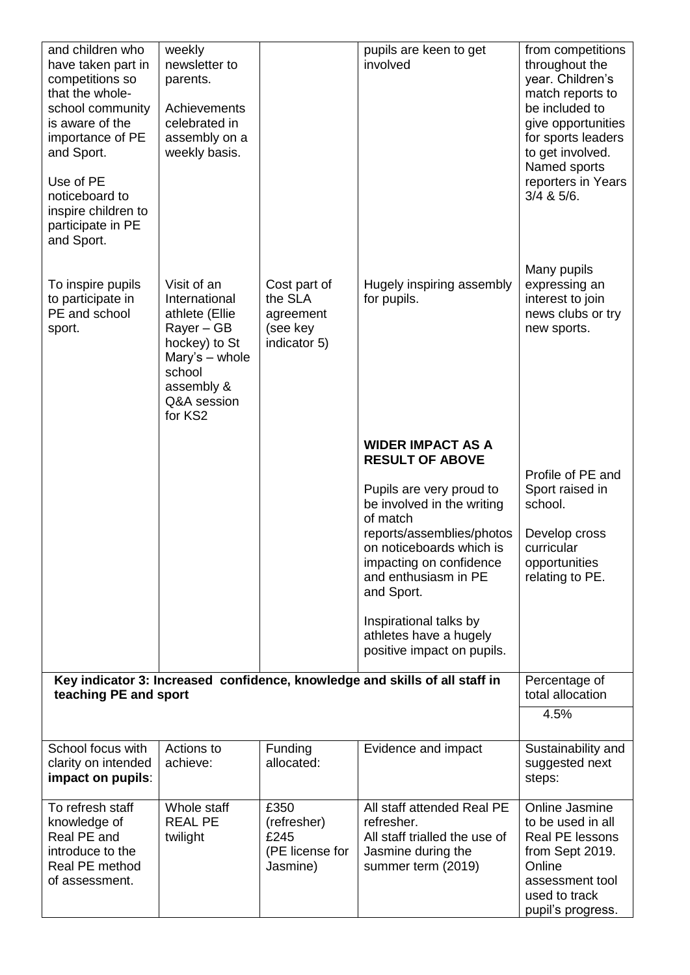| and children who<br>have taken part in<br>competitions so<br>that the whole-<br>school community<br>is aware of the<br>importance of PE<br>and Sport.<br>Use of PE<br>noticeboard to<br>inspire children to<br>participate in PE<br>and Sport. | weekly<br>newsletter to<br>parents.<br>Achievements<br>celebrated in<br>assembly on a<br>weekly basis.                                            |                                                                  | pupils are keen to get<br>involved                                                                                                                                                           | from competitions<br>throughout the<br>year. Children's<br>match reports to<br>be included to<br>give opportunities<br>for sports leaders<br>to get involved.<br>Named sports<br>reporters in Years<br>$3/4$ & $5/6$ . |
|------------------------------------------------------------------------------------------------------------------------------------------------------------------------------------------------------------------------------------------------|---------------------------------------------------------------------------------------------------------------------------------------------------|------------------------------------------------------------------|----------------------------------------------------------------------------------------------------------------------------------------------------------------------------------------------|------------------------------------------------------------------------------------------------------------------------------------------------------------------------------------------------------------------------|
| To inspire pupils<br>to participate in<br>PE and school<br>sport.                                                                                                                                                                              | Visit of an<br>International<br>athlete (Ellie<br>Rayer – GB<br>hockey) to St<br>Mary's - whole<br>school<br>assembly &<br>Q&A session<br>for KS2 | Cost part of<br>the SLA<br>agreement<br>(see key<br>indicator 5) | Hugely inspiring assembly<br>for pupils.                                                                                                                                                     | Many pupils<br>expressing an<br>interest to join<br>news clubs or try<br>new sports.                                                                                                                                   |
|                                                                                                                                                                                                                                                |                                                                                                                                                   |                                                                  | <b>WIDER IMPACT AS A</b><br><b>RESULT OF ABOVE</b>                                                                                                                                           |                                                                                                                                                                                                                        |
|                                                                                                                                                                                                                                                |                                                                                                                                                   |                                                                  | Pupils are very proud to<br>be involved in the writing<br>of match<br>reports/assemblies/photos<br>on noticeboards which is<br>impacting on confidence<br>and enthusiasm in PE<br>and Sport. | Profile of PE and<br>Sport raised in<br>school.<br>Develop cross<br>curricular<br>opportunities<br>relating to PE.                                                                                                     |
|                                                                                                                                                                                                                                                |                                                                                                                                                   |                                                                  | Inspirational talks by<br>athletes have a hugely<br>positive impact on pupils.                                                                                                               |                                                                                                                                                                                                                        |
| teaching PE and sport                                                                                                                                                                                                                          |                                                                                                                                                   |                                                                  | Key indicator 3: Increased confidence, knowledge and skills of all staff in                                                                                                                  | Percentage of<br>total allocation                                                                                                                                                                                      |
|                                                                                                                                                                                                                                                |                                                                                                                                                   |                                                                  |                                                                                                                                                                                              | 4.5%                                                                                                                                                                                                                   |
| School focus with<br>clarity on intended<br>impact on pupils:                                                                                                                                                                                  | Actions to<br>achieve:                                                                                                                            | Funding<br>allocated:                                            | Evidence and impact                                                                                                                                                                          | Sustainability and<br>suggested next<br>steps:                                                                                                                                                                         |
| To refresh staff<br>knowledge of<br>Real PE and<br>introduce to the<br>Real PE method<br>of assessment.                                                                                                                                        | Whole staff<br><b>REAL PE</b><br>twilight                                                                                                         | £350<br>(refresher)<br>£245<br>(PE license for<br>Jasmine)       | All staff attended Real PE<br>refresher.<br>All staff trialled the use of<br>Jasmine during the<br>summer term (2019)                                                                        | Online Jasmine<br>to be used in all<br>Real PE lessons<br>from Sept 2019.<br>Online<br>assessment tool<br>used to track<br>pupil's progress.                                                                           |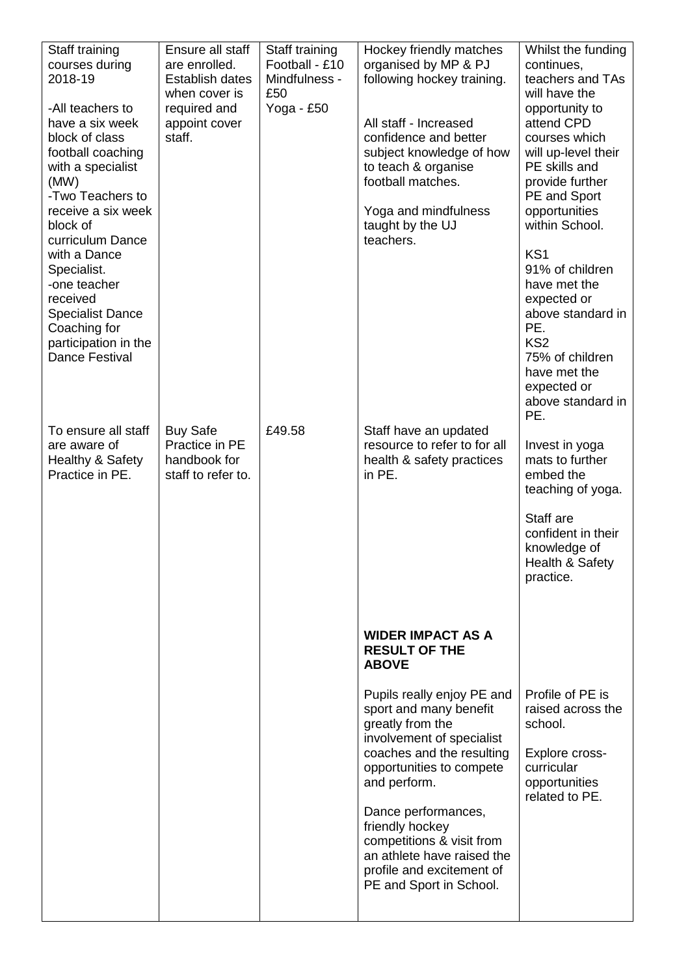| Staff training<br>courses during<br>2018-19<br>-All teachers to<br>have a six week<br>block of class<br>football coaching<br>with a specialist<br>(MW)<br>-Two Teachers to<br>receive a six week<br>block of<br>curriculum Dance | Ensure all staff<br>are enrolled.<br>Establish dates<br>when cover is<br>required and<br>appoint cover<br>staff. | Staff training<br>Football - £10<br>Mindfulness -<br>£50<br>Yoga - £50 | Hockey friendly matches<br>organised by MP & PJ<br>following hockey training.<br>All staff - Increased<br>confidence and better<br>subject knowledge of how<br>to teach & organise<br>football matches.<br>Yoga and mindfulness<br>taught by the UJ<br>teachers. | Whilst the funding<br>continues,<br>teachers and TAs<br>will have the<br>opportunity to<br>attend CPD<br>courses which<br>will up-level their<br>PE skills and<br>provide further<br>PE and Sport<br>opportunities<br>within School. |
|----------------------------------------------------------------------------------------------------------------------------------------------------------------------------------------------------------------------------------|------------------------------------------------------------------------------------------------------------------|------------------------------------------------------------------------|------------------------------------------------------------------------------------------------------------------------------------------------------------------------------------------------------------------------------------------------------------------|--------------------------------------------------------------------------------------------------------------------------------------------------------------------------------------------------------------------------------------|
| with a Dance<br>Specialist.<br>-one teacher<br>received<br><b>Specialist Dance</b><br>Coaching for<br>participation in the<br><b>Dance Festival</b>                                                                              |                                                                                                                  |                                                                        |                                                                                                                                                                                                                                                                  | KS1<br>91% of children<br>have met the<br>expected or<br>above standard in<br>PE.<br>KS <sub>2</sub><br>75% of children<br>have met the<br>expected or<br>above standard in<br>PE.                                                   |
| To ensure all staff<br>are aware of<br>Healthy & Safety<br>Practice in PE.                                                                                                                                                       | <b>Buy Safe</b><br>Practice in PE<br>handbook for<br>staff to refer to.                                          | £49.58                                                                 | Staff have an updated<br>resource to refer to for all<br>health & safety practices<br>in PE.                                                                                                                                                                     | Invest in yoga<br>mats to further<br>embed the<br>teaching of yoga.                                                                                                                                                                  |
|                                                                                                                                                                                                                                  |                                                                                                                  |                                                                        |                                                                                                                                                                                                                                                                  | Staff are<br>confident in their<br>knowledge of<br>Health & Safety<br>practice.                                                                                                                                                      |
|                                                                                                                                                                                                                                  |                                                                                                                  |                                                                        | <b>WIDER IMPACT AS A</b><br><b>RESULT OF THE</b><br><b>ABOVE</b>                                                                                                                                                                                                 |                                                                                                                                                                                                                                      |
|                                                                                                                                                                                                                                  |                                                                                                                  |                                                                        | Pupils really enjoy PE and<br>sport and many benefit<br>greatly from the<br>involvement of specialist                                                                                                                                                            | Profile of PE is<br>raised across the<br>school.                                                                                                                                                                                     |
|                                                                                                                                                                                                                                  |                                                                                                                  |                                                                        | coaches and the resulting<br>opportunities to compete<br>and perform.                                                                                                                                                                                            | Explore cross-<br>curricular<br>opportunities<br>related to PE.                                                                                                                                                                      |
|                                                                                                                                                                                                                                  |                                                                                                                  |                                                                        | Dance performances,<br>friendly hockey<br>competitions & visit from<br>an athlete have raised the<br>profile and excitement of<br>PE and Sport in School.                                                                                                        |                                                                                                                                                                                                                                      |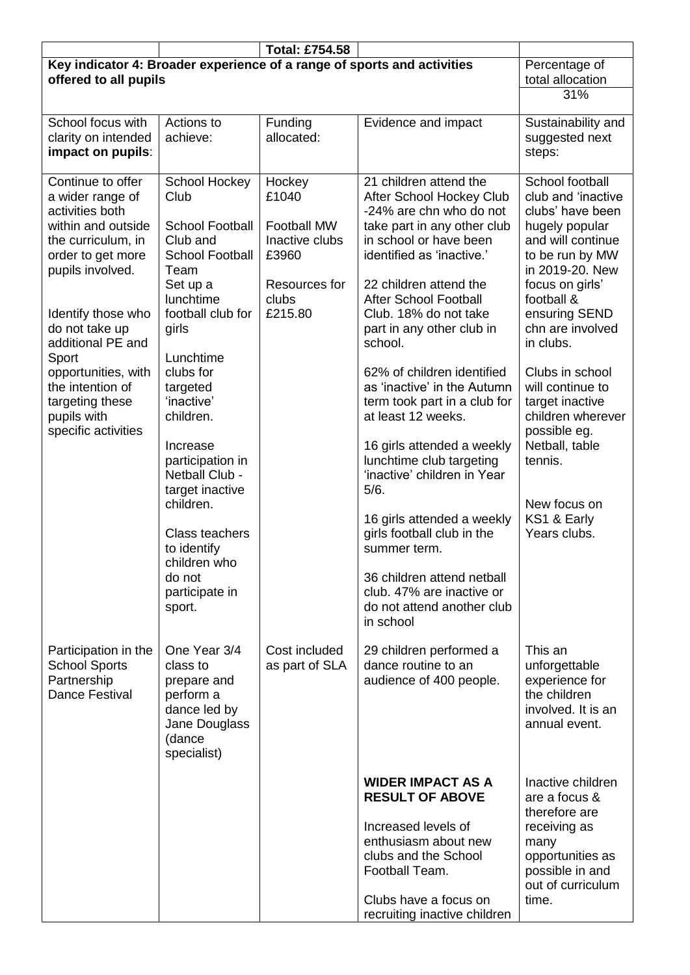|                                                                                                                                                                                                                     |                                                                                                                                                                                                                           | <b>Total: £754.58</b>                                                                                 |                                                                                                                                                                                                                                                                                                                                                                                                    |                                                                                                                                                                                                                                              |
|---------------------------------------------------------------------------------------------------------------------------------------------------------------------------------------------------------------------|---------------------------------------------------------------------------------------------------------------------------------------------------------------------------------------------------------------------------|-------------------------------------------------------------------------------------------------------|----------------------------------------------------------------------------------------------------------------------------------------------------------------------------------------------------------------------------------------------------------------------------------------------------------------------------------------------------------------------------------------------------|----------------------------------------------------------------------------------------------------------------------------------------------------------------------------------------------------------------------------------------------|
| Key indicator 4: Broader experience of a range of sports and activities<br>offered to all pupils                                                                                                                    |                                                                                                                                                                                                                           |                                                                                                       |                                                                                                                                                                                                                                                                                                                                                                                                    | Percentage of<br>total allocation                                                                                                                                                                                                            |
|                                                                                                                                                                                                                     |                                                                                                                                                                                                                           |                                                                                                       |                                                                                                                                                                                                                                                                                                                                                                                                    | 31%                                                                                                                                                                                                                                          |
| School focus with<br>clarity on intended<br>impact on pupils:                                                                                                                                                       | Actions to<br>achieve:                                                                                                                                                                                                    | Funding<br>allocated:                                                                                 | Evidence and impact                                                                                                                                                                                                                                                                                                                                                                                | Sustainability and<br>suggested next<br>steps:                                                                                                                                                                                               |
| Continue to offer<br>a wider range of<br>activities both<br>within and outside<br>the curriculum, in<br>order to get more<br>pupils involved.<br>Identify those who<br>do not take up<br>additional PE and<br>Sport | School Hockey<br>Club<br><b>School Football</b><br>Club and<br><b>School Football</b><br>Team<br>Set up a<br>lunchtime<br>football club for<br>girls<br>Lunchtime                                                         | Hockey<br>£1040<br><b>Football MW</b><br>Inactive clubs<br>£3960<br>Resources for<br>clubs<br>£215.80 | 21 children attend the<br>After School Hockey Club<br>-24% are chn who do not<br>take part in any other club<br>in school or have been<br>identified as 'inactive.'<br>22 children attend the<br><b>After School Football</b><br>Club. 18% do not take<br>part in any other club in<br>school.                                                                                                     | School football<br>club and 'inactive<br>clubs' have been<br>hugely popular<br>and will continue<br>to be run by MW<br>in 2019-20. New<br>focus on girls'<br>football &<br>ensuring SEND<br>chn are involved<br>in clubs.<br>Clubs in school |
| opportunities, with<br>the intention of<br>targeting these<br>pupils with<br>specific activities                                                                                                                    | clubs for<br>targeted<br>'inactive'<br>children.<br>Increase<br>participation in<br>Netball Club -<br>target inactive<br>children.<br>Class teachers<br>to identify<br>children who<br>do not<br>participate in<br>sport. |                                                                                                       | 62% of children identified<br>as 'inactive' in the Autumn<br>term took part in a club for<br>at least 12 weeks.<br>16 girls attended a weekly<br>lunchtime club targeting<br>'inactive' children in Year<br>5/6.<br>16 girls attended a weekly<br>girls football club in the<br>summer term.<br>36 children attend netball<br>club. 47% are inactive or<br>do not attend another club<br>in school | will continue to<br>target inactive<br>children wherever<br>possible eg.<br>Netball, table<br>tennis.<br>New focus on<br>KS1 & Early<br>Years clubs.                                                                                         |
| Participation in the<br><b>School Sports</b><br>Partnership<br><b>Dance Festival</b>                                                                                                                                | One Year 3/4<br>class to<br>prepare and<br>perform a<br>dance led by<br>Jane Douglass<br>(dance<br>specialist)                                                                                                            | Cost included<br>as part of SLA                                                                       | 29 children performed a<br>dance routine to an<br>audience of 400 people.                                                                                                                                                                                                                                                                                                                          | This an<br>unforgettable<br>experience for<br>the children<br>involved. It is an<br>annual event.                                                                                                                                            |
|                                                                                                                                                                                                                     |                                                                                                                                                                                                                           |                                                                                                       | <b>WIDER IMPACT AS A</b><br><b>RESULT OF ABOVE</b><br>Increased levels of<br>enthusiasm about new<br>clubs and the School<br>Football Team.<br>Clubs have a focus on<br>recruiting inactive children                                                                                                                                                                                               | Inactive children<br>are a focus &<br>therefore are<br>receiving as<br>many<br>opportunities as<br>possible in and<br>out of curriculum<br>time.                                                                                             |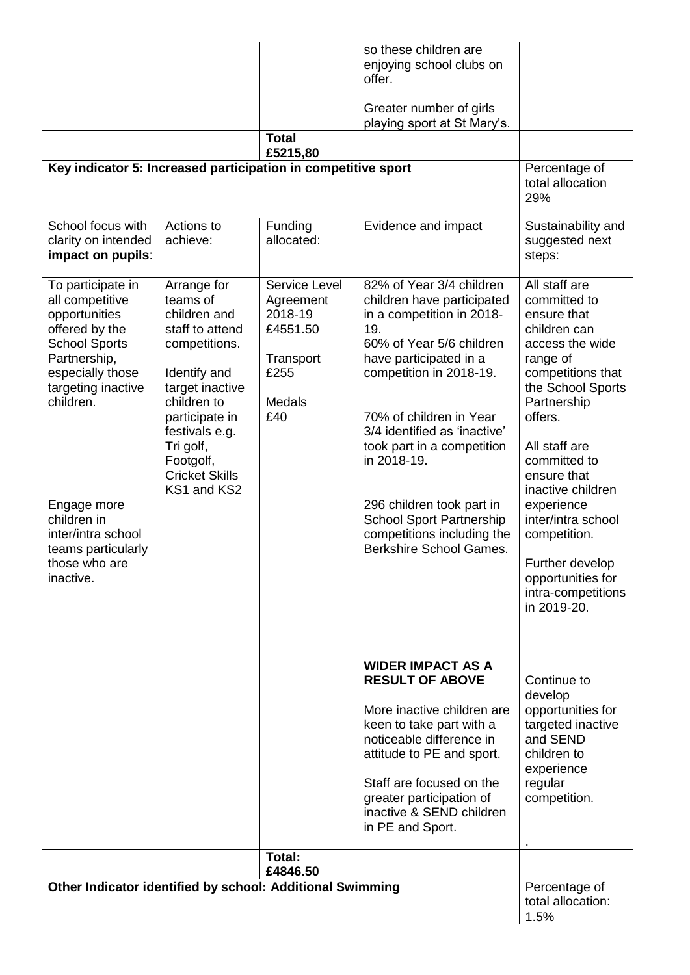|                                                                                                                                                                                                                       |                                                                                                                                                                                          |                                                       |                                                                                                                                                                                                                                                                                                                              | total allocation:<br>1.5%                                                                                                                                                                                                                                                                                             |
|-----------------------------------------------------------------------------------------------------------------------------------------------------------------------------------------------------------------------|------------------------------------------------------------------------------------------------------------------------------------------------------------------------------------------|-------------------------------------------------------|------------------------------------------------------------------------------------------------------------------------------------------------------------------------------------------------------------------------------------------------------------------------------------------------------------------------------|-----------------------------------------------------------------------------------------------------------------------------------------------------------------------------------------------------------------------------------------------------------------------------------------------------------------------|
| Other Indicator identified by school: Additional Swimming                                                                                                                                                             |                                                                                                                                                                                          |                                                       |                                                                                                                                                                                                                                                                                                                              | Percentage of                                                                                                                                                                                                                                                                                                         |
|                                                                                                                                                                                                                       |                                                                                                                                                                                          | Total:<br>£4846.50                                    |                                                                                                                                                                                                                                                                                                                              |                                                                                                                                                                                                                                                                                                                       |
|                                                                                                                                                                                                                       |                                                                                                                                                                                          |                                                       | <b>WIDER IMPACT AS A</b><br><b>RESULT OF ABOVE</b><br>More inactive children are<br>keen to take part with a<br>noticeable difference in<br>attitude to PE and sport.<br>Staff are focused on the<br>greater participation of<br>inactive & SEND children<br>in PE and Sport.                                                | Continue to<br>develop<br>opportunities for<br>targeted inactive<br>and SEND<br>children to<br>experience<br>regular<br>competition.                                                                                                                                                                                  |
| offered by the<br><b>School Sports</b><br>Partnership,<br>especially those<br>targeting inactive<br>children.<br>Engage more<br>children in<br>inter/intra school<br>teams particularly<br>those who are<br>inactive. | staff to attend<br>competitions.<br>Identify and<br>target inactive<br>children to<br>participate in<br>festivals e.g.<br>Tri golf,<br>Footgolf,<br><b>Cricket Skills</b><br>KS1 and KS2 | £4551.50<br>Transport<br>£255<br><b>Medals</b><br>£40 | 19.<br>60% of Year 5/6 children<br>have participated in a<br>competition in 2018-19.<br>70% of children in Year<br>3/4 identified as 'inactive'<br>took part in a competition<br>in 2018-19.<br>296 children took part in<br><b>School Sport Partnership</b><br>competitions including the<br><b>Berkshire School Games.</b> | children can<br>access the wide<br>range of<br>competitions that<br>the School Sports<br>Partnership<br>offers.<br>All staff are<br>committed to<br>ensure that<br>inactive children<br>experience<br>inter/intra school<br>competition.<br>Further develop<br>opportunities for<br>intra-competitions<br>in 2019-20. |
| clarity on intended<br>impact on pupils:<br>To participate in<br>all competitive<br>opportunities                                                                                                                     | achieve:<br>Arrange for<br>teams of<br>children and                                                                                                                                      | allocated:<br>Service Level<br>Agreement<br>2018-19   | 82% of Year 3/4 children<br>children have participated<br>in a competition in 2018-                                                                                                                                                                                                                                          | suggested next<br>steps:<br>All staff are<br>committed to<br>ensure that                                                                                                                                                                                                                                              |
| Key indicator 5: Increased participation in competitive sport<br>School focus with                                                                                                                                    | Actions to                                                                                                                                                                               | Funding                                               | Evidence and impact                                                                                                                                                                                                                                                                                                          | Percentage of<br>total allocation<br>29%<br>Sustainability and                                                                                                                                                                                                                                                        |
|                                                                                                                                                                                                                       |                                                                                                                                                                                          | <b>Total</b><br>£5215,80                              |                                                                                                                                                                                                                                                                                                                              |                                                                                                                                                                                                                                                                                                                       |
|                                                                                                                                                                                                                       |                                                                                                                                                                                          |                                                       | Greater number of girls<br>playing sport at St Mary's.                                                                                                                                                                                                                                                                       |                                                                                                                                                                                                                                                                                                                       |
|                                                                                                                                                                                                                       |                                                                                                                                                                                          |                                                       | offer.                                                                                                                                                                                                                                                                                                                       |                                                                                                                                                                                                                                                                                                                       |
|                                                                                                                                                                                                                       |                                                                                                                                                                                          |                                                       | so these children are<br>enjoying school clubs on                                                                                                                                                                                                                                                                            |                                                                                                                                                                                                                                                                                                                       |